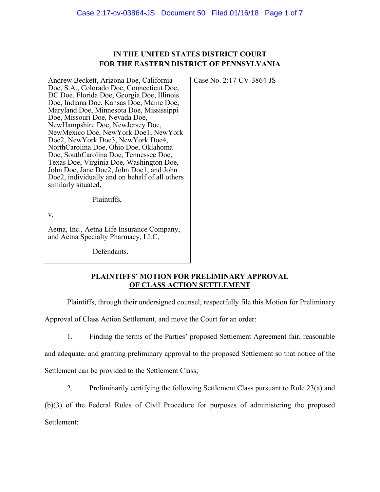## **IN THE UNITED STATES DISTRICT COURT FOR THE EASTERN DISTRICT OF PENNSYLVANIA**

Case No. 2:17-CV-3864-JS

Andrew Beckett, Arizona Doe, California Doe, S.A., Colorado Doe, Connecticut Doe, DC Doe, Florida Doe, Georgia Doe, Illinois Doe, Indiana Doe, Kansas Doe, Maine Doe, Maryland Doe, Minnesota Doe, Mississippi Doe, Missouri Doe, Nevada Doe, NewHampshire Doe, NewJersey Doe, NewMexico Doe, NewYork Doe1, NewYork Doe2, NewYork Doe3, NewYork Doe4, NorthCarolina Doe, Ohio Doe, Oklahoma Doe, SouthCarolina Doe, Tennessee Doe, Texas Doe, Virginia Doe, Washington Doe, John Doe, Jane Doe2, John Doe1, and John Doe2, individually and on behalf of all others similarly situated,

Plaintiffs,

v.

Aetna, Inc., Aetna Life Insurance Company, and Aetna Specialty Pharmacy, LLC,

Defendants.

### **PLAINTIFFS' MOTION FOR PRELIMINARY APPROVAL OF CLASS ACTION SETTLEMENT**

Plaintiffs, through their undersigned counsel, respectfully file this Motion for Preliminary

Approval of Class Action Settlement, and move the Court for an order:

1. Finding the terms of the Parties' proposed Settlement Agreement fair, reasonable

and adequate, and granting preliminary approval to the proposed Settlement so that notice of the

Settlement can be provided to the Settlement Class;

2. Preliminarily certifying the following Settlement Class pursuant to Rule 23(a) and

(b)(3) of the Federal Rules of Civil Procedure for purposes of administering the proposed

Settlement: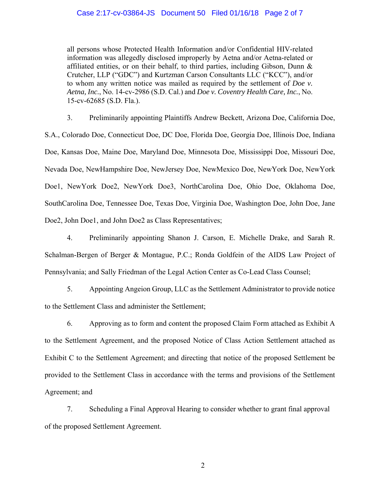#### Case 2:17-cv-03864-JS Document 50 Filed 01/16/18 Page 2 of 7

all persons whose Protected Health Information and/or Confidential HIV-related information was allegedly disclosed improperly by Aetna and/or Aetna-related or affiliated entities, or on their behalf, to third parties, including Gibson, Dunn & Crutcher, LLP ("GDC") and Kurtzman Carson Consultants LLC ("KCC"), and/or to whom any written notice was mailed as required by the settlement of *Doe v. Aetna, Inc.*, No. 14-cv-2986 (S.D. Cal.) and *Doe v. Coventry Health Care, Inc.*, No. 15-cv-62685 (S.D. Fla.).

3. Preliminarily appointing Plaintiffs Andrew Beckett, Arizona Doe, California Doe, S.A., Colorado Doe, Connecticut Doe, DC Doe, Florida Doe, Georgia Doe, Illinois Doe, Indiana Doe, Kansas Doe, Maine Doe, Maryland Doe, Minnesota Doe, Mississippi Doe, Missouri Doe, Nevada Doe, NewHampshire Doe, NewJersey Doe, NewMexico Doe, NewYork Doe, NewYork Doe1, NewYork Doe2, NewYork Doe3, NorthCarolina Doe, Ohio Doe, Oklahoma Doe, SouthCarolina Doe, Tennessee Doe, Texas Doe, Virginia Doe, Washington Doe, John Doe, Jane Doe2, John Doe1, and John Doe2 as Class Representatives;

4. Preliminarily appointing Shanon J. Carson, E. Michelle Drake, and Sarah R. Schalman-Bergen of Berger & Montague, P.C.; Ronda Goldfein of the AIDS Law Project of Pennsylvania; and Sally Friedman of the Legal Action Center as Co-Lead Class Counsel;

5. Appointing Angeion Group, LLC as the Settlement Administrator to provide notice to the Settlement Class and administer the Settlement;

6. Approving as to form and content the proposed Claim Form attached as Exhibit A to the Settlement Agreement, and the proposed Notice of Class Action Settlement attached as Exhibit C to the Settlement Agreement; and directing that notice of the proposed Settlement be provided to the Settlement Class in accordance with the terms and provisions of the Settlement Agreement; and

7. Scheduling a Final Approval Hearing to consider whether to grant final approval of the proposed Settlement Agreement.

2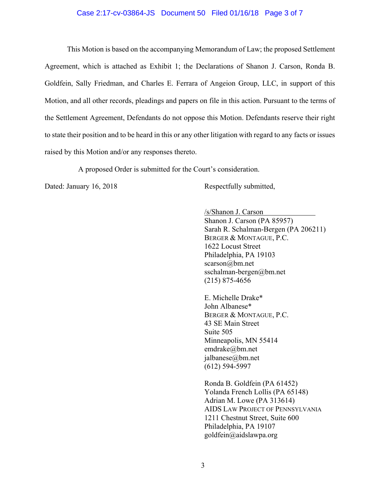#### Case 2:17-cv-03864-JS Document 50 Filed 01/16/18 Page 3 of 7

This Motion is based on the accompanying Memorandum of Law; the proposed Settlement Agreement, which is attached as Exhibit 1; the Declarations of Shanon J. Carson, Ronda B. Goldfein, Sally Friedman, and Charles E. Ferrara of Angeion Group, LLC, in support of this Motion, and all other records, pleadings and papers on file in this action. Pursuant to the terms of the Settlement Agreement, Defendants do not oppose this Motion. Defendants reserve their right to state their position and to be heard in this or any other litigation with regard to any facts or issues raised by this Motion and/or any responses thereto.

A proposed Order is submitted for the Court's consideration.

Dated: January 16, 2018 Respectfully submitted,

/s/Shanon J. Carson Shanon J. Carson (PA 85957) Sarah R. Schalman-Bergen (PA 206211) BERGER & MONTAGUE, P.C. 1622 Locust Street Philadelphia, PA 19103 scarson@bm.net sschalman-bergen@bm.net (215) 875-4656

E. Michelle Drake\* John Albanese\* BERGER & MONTAGUE, P.C. 43 SE Main Street Suite 505 Minneapolis, MN 55414 emdrake@bm.net jalbanese@bm.net (612) 594-5997

Ronda B. Goldfein (PA 61452) Yolanda French Lollis (PA 65148) Adrian M. Lowe (PA 313614) AIDS LAW PROJECT OF PENNSYLVANIA 1211 Chestnut Street, Suite 600 Philadelphia, PA 19107 goldfein@aidslawpa.org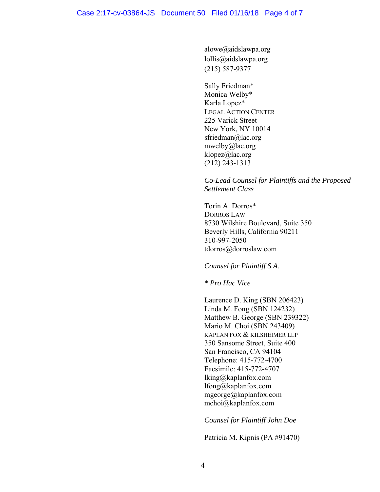alowe@aidslawpa.org lollis@aidslawpa.org (215) 587-9377

Sally Friedman\* Monica Welby\* Karla Lopez\* LEGAL ACTION CENTER 225 Varick Street New York, NY 10014 sfriedman@lac.org mwelby@lac.org klopez@lac.org (212) 243-1313

### *Co-Lead Counsel for Plaintiffs and the Proposed Settlement Class*

Torin A. Dorros\* DORROS LAW 8730 Wilshire Boulevard, Suite 350 Beverly Hills, California 90211 310-997-2050 tdorros@dorroslaw.com

### *Counsel for Plaintiff S.A.*

*\* Pro Hac Vice* 

Laurence D. King (SBN 206423) Linda M. Fong (SBN 124232) Matthew B. George (SBN 239322) Mario M. Choi (SBN 243409) KAPLAN FOX & KILSHEIMER LLP 350 Sansome Street, Suite 400 San Francisco, CA 94104 Telephone: 415-772-4700 Facsimile: 415-772-4707 lking@kaplanfox.com lfong@kaplanfox.com mgeorge@kaplanfox.com mchoi@kaplanfox.com

*Counsel for Plaintiff John Doe* 

Patricia M. Kipnis (PA #91470)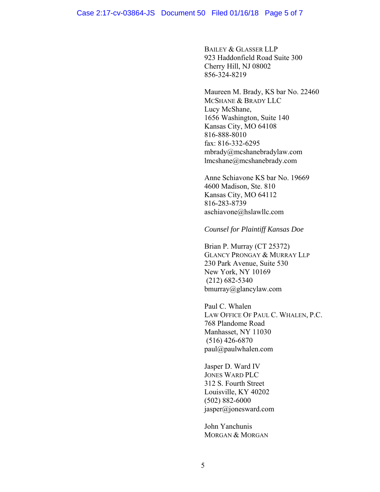#### Case 2:17-cv-03864-JS Document 50 Filed 01/16/18 Page 5 of 7

BAILEY & GLASSER LLP 923 Haddonfield Road Suite 300 Cherry Hill, NJ 08002 856-324-8219

Maureen M. Brady, KS bar No. 22460 MCSHANE & BRADY LLC Lucy McShane, 1656 Washington, Suite 140 Kansas City, MO 64108 816-888-8010 fax: 816-332-6295 mbrady@mcshanebradylaw.com lmcshane@mcshanebrady.com

Anne Schiavone KS bar No. 19669 4600 Madison, Ste. 810 Kansas City, MO 64112 816-283-8739 aschiavone@hslawllc.com

### *Counsel for Plaintiff Kansas Doe*

Brian P. Murray (CT 25372) GLANCY PRONGAY & MURRAY LLP 230 Park Avenue, Suite 530 New York, NY 10169 (212) 682-5340 bmurray@glancylaw.com

Paul C. Whalen LAW OFFICE OF PAUL C. WHALEN, P.C. 768 Plandome Road Manhasset, NY 11030 (516) 426-6870 paul@paulwhalen.com

Jasper D. Ward IV JONES WARD PLC 312 S. Fourth Street Louisville, KY 40202 (502) 882-6000 jasper@jonesward.com

John Yanchunis MORGAN & MORGAN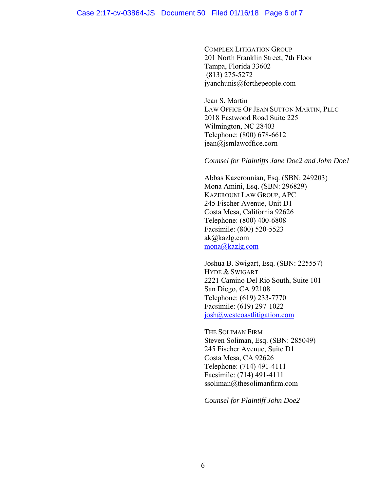#### Case 2:17-cv-03864-JS Document 50 Filed 01/16/18 Page 6 of 7

COMPLEX LITIGATION GROUP 201 North Franklin Street, 7th Floor Tampa, Florida 33602 (813) 275-5272 jyanchunis@forthepeople.com

Jean S. Martin LAW OFFICE OF JEAN SUTTON MARTIN, PLLC 2018 Eastwood Road Suite 225 Wilmington, NC 28403 Telephone: (800) 678-6612 jean@jsmlawoffice.corn

*Counsel for Plaintiffs Jane Doe2 and John Doe1* 

Abbas Kazerounian, Esq. (SBN: 249203) Mona Amini, Esq. (SBN: 296829) KAZEROUNI LAW GROUP, APC 245 Fischer Avenue, Unit D1 Costa Mesa, California 92626 Telephone: (800) 400-6808 Facsimile: (800) 520-5523 ak@kazlg.com mona@kazlg.com

Joshua B. Swigart, Esq. (SBN: 225557) HYDE & SWIGART 2221 Camino Del Rio South, Suite 101 San Diego, CA 92108 Telephone: (619) 233-7770 Facsimile: (619) 297-1022 josh@westcoastlitigation.com

THE SOLIMAN FIRM Steven Soliman, Esq. (SBN: 285049) 245 Fischer Avenue, Suite D1 Costa Mesa, CA 92626 Telephone: (714) 491-4111 Facsimile: (714) 491-4111 ssoliman@thesolimanfirm.com

*Counsel for Plaintiff John Doe2*